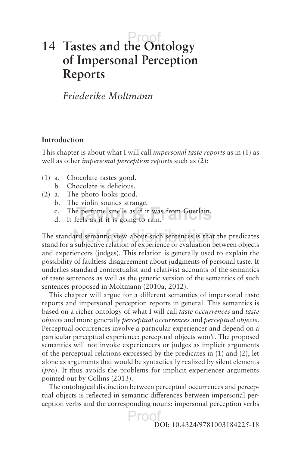# **14 Tastes and the Ontology of Impersonal Perception Reports**

*Friederike Moltmann*

## **Introduction**

This chapter is about what I will call *impersonal taste reports* as in (1) as well as other *impersonal perception reports* such as (2):

- (1) a. Chocolate tastes good.
	- b. Chocolate is delicious.
- (2) a. The photo looks good.
	- b. The violin sounds strange.
	- c. The perfume smells as if it was from Guerlain.
	- d. It feels as if it is going to rain.

The standard semantic view about such sentences is that the predicates stand for a subjective relation of experience or evaluation between objects and experiencers (judges). This relation is generally used to explain the possibility of faultless disagreement about judgments of personal taste. It underlies standard contextualist and relativist accounts of the semantics of taste sentences as well as the generic version of the semantics of such sentences proposed in Moltmann (2010a, 2012).

This chapter will argue for a different semantics of impersonal taste reports and impersonal perception reports in general. This semantics is based on a richer ontology of what I will call *taste occurrences* and *taste objects* and more generally *perceptual occurrences* and *perceptual objects*. Perceptual occurrences involve a particular experiencer and depend on a particular perceptual experience; perceptual objects won't. The proposed semantics will not invoke experiencers or judges as implicit arguments of the perceptual relations expressed by the predicates in (1) and (2), let alone as arguments that would be syntactically realized by silent elements (*pro*). It thus avoids the problems for implicit experiencer arguments pointed out by Collins (2013).

The ontological distinction between perceptual occurrences and perceptual objects is reflected in semantic differences between impersonal perception verbs and the corresponding nouns: impersonal perception verbs

Proof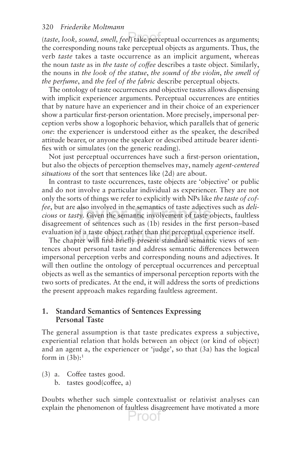(*taste, look, sound, smell, feel*) take perceptual occurrences as arguments; the corresponding nouns take perceptual objects as arguments. Thus, the verb *taste* takes a taste occurrence as an implicit argument, whereas the noun *taste* as in *the taste of coffee* describes a taste object. Similarly, the nouns in *the look of the statue*, *the sound of the violin*, *the smell of the perfume*, and *the feel of the fabric* describe perceptual objects.

The ontology of taste occurrences and objective tastes allows dispensing with implicit experiencer arguments. Perceptual occurrences are entities that by nature have an experiencer and in their choice of an experiencer show a particular first-person orientation. More precisely, impersonal perception verbs show a logophoric behavior, which parallels that of generic *one*: the experiencer is understood either as the speaker, the described attitude bearer, or anyone the speaker or described attitude bearer identifies with or simulates (on the generic reading).

Not just perceptual occurrences have such a first-person orientation, but also the objects of perception themselves may, namely *agent-centered situations* of the sort that sentences like (2d) are about.

In contrast to taste occurrences, taste objects are 'objective' or public and do not involve a particular individual as experiencer. They are not only the sorts of things we refer to explicitly with NPs like *the taste of coffee*, but are also involved in the semantics of taste adjectives such as *delicious* or *tasty*. Given the semantic involvement of taste objects, faultless disagreement of sentences such as (1b) resides in the first person–based evaluation of a taste object rather than the perceptual experience itself.

The chapter will first briefly present standard semantic views of sentences about personal taste and address semantic differences between impersonal perception verbs and corresponding nouns and adjectives. It will then outline the ontology of perceptual occurrences and perceptual objects as well as the semantics of impersonal perception reports with the two sorts of predicates. At the end, it will address the sorts of predictions the present approach makes regarding faultless agreement.

#### **1. Standard Semantics of Sentences Expressing Personal Taste**

The general assumption is that taste predicates express a subjective, experiential relation that holds between an object (or kind of object) and an agent a, the experiencer or 'judge', so that (3a) has the logical form in  $(3b)$ :<sup>1</sup>

- (3) a. Coffee tastes good.
	- b. tastes good(coffee, a)

Doubts whether such simple contextualist or relativist analyses can explain the phenomenon of faultless disagreement have motivated a more

-root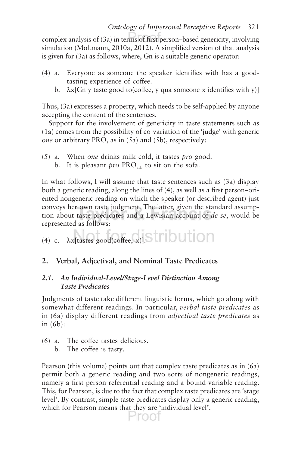complex analysis of (3a) in terms of first person–based genericity, involving simulation (Moltmann, 2010a, 2012). A simplified version of that analysis is given for (3a) as follows, where, Gn is a suitable generic operator:

- (4) a. Everyone as someone the speaker identifies with has a goodtasting experience of coffee.
	- b.  $\lambda x$ [Gn y taste good to(coffee, y qua someone x identifies with y)]

Thus, (3a) expresses a property, which needs to be self-applied by anyone accepting the content of the sentences.

Support for the involvement of genericity in taste statements such as (1a) comes from the possibility of co-variation of the 'judge' with generic *one* or arbitrary PRO, as in (5a) and (5b), respectively:

- (5) a. When *one* drinks milk cold, it tastes *pro* good.
	- b. It is pleasant *pro* PRO<sub>arb</sub> to sit on the sofa.

In what follows, I will assume that taste sentences such as (3a) display both a generic reading, along the lines of (4), as well as a first person–oriented nongeneric reading on which the speaker (or described agent) just conveys her own taste judgment. The latter, given the standard assumption about taste predicates and a Lewisian account of *de se*, would be represented as follows:

(4) c.  $\lambda$ x[tastes good(coffee, x)].  $\blacksquare$ 

# **2. Verbal, Adjectival, and Nominal Taste Predicates**

## *2.1. An Individual-Level/Stage-Level Distinction Among Taste Predicates*

Judgments of taste take different linguistic forms, which go along with somewhat different readings. In particular, *verbal taste predicates* as in (6a) display different readings from *adjectival taste predicates* as in (6b):

- (6) a. The coffee tastes delicious.
	- b. The coffee is tasty.

Pearson (this volume) points out that complex taste predicates as in (6a) permit both a generic reading and two sorts of nongeneric readings, namely a first-person referential reading and a bound-variable reading. This, for Pearson, is due to the fact that complex taste predicates are 'stage level'. By contrast, simple taste predicates display only a generic reading, which for Pearson means that they are 'individual level'.

Proot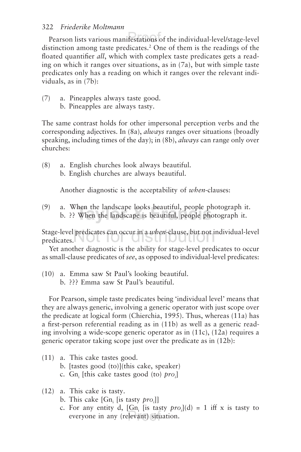Pearson lists various manifestations of the individual-level/stage-level distinction among taste predicates.<sup>2</sup> One of them is the readings of the floated quantifier *all*, which with complex taste predicates gets a reading on which it ranges over situations, as in (7a), but with simple taste predicates only has a reading on which it ranges over the relevant individuals, as in (7b):

- (7) a. Pineapples always taste good.
	- b. Pineapples are always tasty.

The same contrast holds for other impersonal perception verbs and the corresponding adjectives. In (8a), *always* ranges over situations (broadly speaking, including times of the day); in (8b), *always* can range only over churches:

- (8) a. English churches look always beautiful.
	- b. English churches are always beautiful.

Another diagnostic is the acceptability of *when*-clauses:

(9) a. When the landscape looks beautiful, people photograph it. b. ?? When the landscape is beautiful, people photograph it.

Stage-level predicates can occur in a *when*-clause, but not individual-level nul iui uidiliiuutui i predicates.

Yet another diagnostic is the ability for stage-level predicates to occur as small-clause predicates of *see*, as opposed to individual-level predicates:

(10) a. Emma saw St Paul's looking beautiful. b. ??? Emma saw St Paul's beautiful.

For Pearson, simple taste predicates being 'individual level' means that they are always generic, involving a generic operator with just scope over the predicate at logical form (Chierchia, 1995). Thus, whereas (11a) has a first-person referential reading as in (11b) as well as a generic reading involving a wide-scope generic operator as in (11c), (12a) requires a generic operator taking scope just over the predicate as in (12b):

- (11) a. This cake tastes good.
	- b. [tastes good (to)](this cake, speaker)
	- c. Gn<sub>i</sub> [this cake tastes good (to) *pro*<sub>i</sub>]
- (12) a. This cake is tasty.
	- b. This cake [Gn<sub>i</sub> [is tasty *pro<sub>i</sub>*]]
	- c. For any entity d,  $[Gn_i]$  is tasty  $proj(d) = 1$  iff x is tasty to everyone in any (relevant) situation.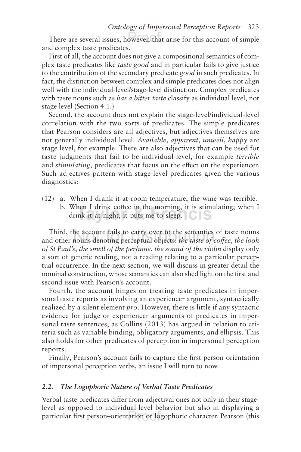There are several issues, however, that arise for this account of simple and complex taste predicates.

First of all, the account does not give a compositional semantics of complex taste predicates like *taste good* and in particular fails to give justice to the contribution of the secondary predicate *good* in such predicates. In fact, the distinction between complex and simple predicates does not align well with the individual-level/stage-level distinction. Complex predicates with taste nouns such as *has a bitter taste* classify as individual level, not stage level (Section 4.1.)

Second, the account does not explain the stage-level/individual-level correlation with the two sorts of predicates. The simple predicates that Pearson considers are all adjectives, but adjectives themselves are not generally individual level. *Available*, *apparent*, *unwell*, *happy* are stage level, for example. There are also adjectives that can be used for taste judgments that fail to be individual-level, for example *terrible* and *stimulating*, predicates that focus on the effect on the experiencer. Such adjectives pattern with stage-level predicates given the various diagnostics:

(12) a. When I drank it at room temperature, the wine was terrible. b. When I drink coffee in the morning, it is stimulating; when I

drink it at night, it puts me to sleep.

Third, the account fails to carry over to the semantics of taste nouns and other nouns denoting perceptual objects: *the taste of coffee*, *the look of St Paul's*, *the smell of the perfume*, *the sound of the violin* display only a sort of generic reading, not a reading relating to a particular perceptual occurrence. In the next section, we will discuss in greater detail the nominal construction, whose semantics can also shed light on the first and second issue with Pearson's account.

Fourth, the account hinges on treating taste predicates in impersonal taste reports as involving an experiencer argument, syntactically realized by a silent element *pro*. However, there is little if any syntactic evidence for judge or experiencer arguments of predicates in impersonal taste sentences, as Collins (2013) has argued in relation to criteria such as variable binding, obligatory arguments, and ellipsis. This also holds for other predicates of perception in impersonal perception reports.

Finally, Pearson's account fails to capture the first-person orientation of impersonal perception verbs, an issue I will turn to now.

#### *2.2. The Logophoric Nature of Verbal Taste Predicates*

Verbal taste predicates differ from adjectival ones not only in their stagelevel as opposed to individual-level behavior but also in displaying a particular first person–orientation or logophoric character. Pearson (this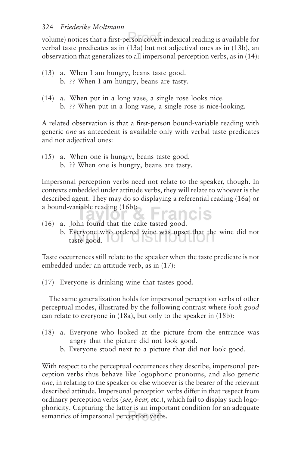volume) notices that a first-person covert indexical reading is available for verbal taste predicates as in (13a) but not adjectival ones as in (13b), an observation that generalizes to all impersonal perception verbs, as in (14):

- (13) a. When I am hungry, beans taste good. b. ?? When I am hungry, beans are tasty.
- (14) a. When put in a long vase, a single rose looks nice. b. ?? When put in a long vase, a single rose is nice-looking.

A related observation is that a first-person bound-variable reading with generic *one* as antecedent is available only with verbal taste predicates and not adjectival ones:

(15) a. When one is hungry, beans taste good. b. ?? When one is hungry, beans are tasty.

Impersonal perception verbs need not relate to the speaker, though. In contexts embedded under attitude verbs, they will relate to whoever is the described agent. They may do so displaying a referential reading (16a) or a bound-variable reading (16b):

- (16) a. John found that the cake tasted good.
	- b. Everyone who ordered wine was upset that the wine did not taste good. UI UIJUIJUIJUI

Taste occurrences still relate to the speaker when the taste predicate is not embedded under an attitude verb, as in (17):

(17) Everyone is drinking wine that tastes good.

The same generalization holds for impersonal perception verbs of other perceptual modes, illustrated by the following contrast where *look good*  can relate to everyone in (18a), but only to the speaker in (18b):

- (18) a. Everyone who looked at the picture from the entrance was angry that the picture did not look good.
	- b. Everyone stood next to a picture that did not look good.

With respect to the perceptual occurrences they describe, impersonal perception verbs thus behave like logophoric pronouns, and also generic *one*, in relating to the speaker or else whoever is the bearer of the relevant described attitude. Impersonal perception verbs differ in that respect from ordinary perception verbs (*see, hear,* etc.), which fail to display such logophoricity. Capturing the latter is an important condition for an adequate semantics of impersonal perception verbs.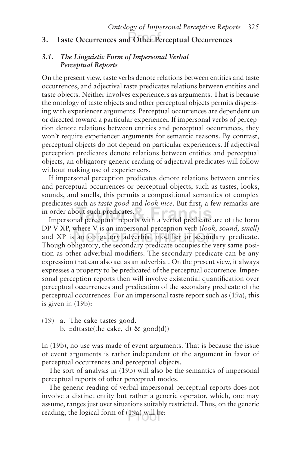#### **3. Taste Occurrences and Other Perceptual Occurrences**

#### *3.1. The Linguistic Form of Impersonal Verbal Perceptual Reports*

On the present view, taste verbs denote relations between entities and taste occurrences, and adjectival taste predicates relations between entities and taste objects. Neither involves experiencers as arguments. That is because the ontology of taste objects and other perceptual objects permits dispensing with experiencer arguments. Perceptual occurrences are dependent on or directed toward a particular experiencer. If impersonal verbs of perception denote relations between entities and perceptual occurrences, they won't require experiencer arguments for semantic reasons. By contrast, perceptual objects do not depend on particular experiencers. If adjectival perception predicates denote relations between entities and perceptual objects, an obligatory generic reading of adjectival predicates will follow without making use of experiencers.

If impersonal perception predicates denote relations between entities and perceptual occurrences or perceptual objects, such as tastes, looks, sounds, and smells, this permits a compositional semantics of complex predicates such as *taste good* and *look nice*. But first, a few remarks are in order about such predicates.  $\sim$ 

Impersonal perceptual reports with a verbal predicate are of the form DP V XP, where V is an impersonal perception verb (*look, sound, smell*) and XP is an obligatory adverbial modifier or secondary predicate. Though obligatory, the secondary predicate occupies the very same position as other adverbial modifiers. The secondary predicate can be any expression that can also act as an adverbial. On the present view, it always expresses a property to be predicated of the perceptual occurrence. Impersonal perception reports then will involve existential quantification over perceptual occurrences and predication of the secondary predicate of the perceptual occurrences. For an impersonal taste report such as (19a), this is given in (19b):

(19) a. The cake tastes good. b.  $\exists d$ (taste(the cake, d) & good(d))

In (19b), no use was made of event arguments. That is because the issue of event arguments is rather independent of the argument in favor of perceptual occurrences and perceptual objects.

The sort of analysis in (19b) will also be the semantics of impersonal perceptual reports of other perceptual modes.

The generic reading of verbal impersonal perceptual reports does not involve a distinct entity but rather a generic operator, which, one may assume, ranges just over situations suitably restricted. Thus, on the generic reading, the logical form of (19a) will be: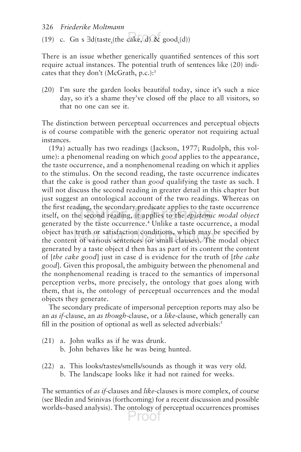326 *Friederike Moltmann*

(19) c. Gn s  $\exists d$ (taste<sub>s</sub>(the cake, d) & good<sub>s</sub>(d))

There is an issue whether generically quantified sentences of this sort require actual instances. The potential truth of sentences like (20) indicates that they don't (McGrath, p.c.):3

(20) I'm sure the garden looks beautiful today, since it's such a nice day, so it's a shame they've closed off the place to all visitors, so that no one can see it.

The distinction between perceptual occurrences and perceptual objects is of course compatible with the generic operator not requiring actual instances.

(19a) actually has two readings (Jackson, 1977; Rudolph, this volume): a phenomenal reading on which *good* applies to the appearance, the taste occurrence, and a nonphenomenal reading on which it applies to the stimulus. On the second reading, the taste occurrence indicates that the cake is good rather than *good* qualifying the taste as such. I will not discuss the second reading in greater detail in this chapter but just suggest an ontological account of the two readings. Whereas on the first reading, the secondary predicate applies to the taste occurrence itself, on the second reading, it applies to the *epistemic modal object* generated by the taste occurrence.<sup>4</sup> Unlike a taste occurrence, a modal object has truth or satisfaction conditions, which may be specified by the content of various sentences (or small clauses). The modal object generated by a taste object d then has as part of its content the content of [*the cake good*] just in case d is evidence for the truth of [*the cake good*]. Given this proposal, the ambiguity between the phenomenal and the nonphenomenal reading is traced to the semantics of impersonal perception verbs, more precisely, the ontology that goes along with them, that is, the ontology of perceptual occurrences and the modal objects they generate.

The secondary predicate of impersonal perception reports may also be an *as if*-clause, an *as though*-clause, or a *like-*clause, which generally can fill in the position of optional as well as selected adverbials:<sup>5</sup>

- (21) a. John walks as if he was drunk. b. John behaves like he was being hunted.
- (22) a. This looks/tastes/smells/sounds as though it was very old. b. The landscape looks like it had not rained for weeks.

The semantics of *as if*-clauses and *like*-clauses is more complex, of course (see Bledin and Srinivas (forthcoming) for a recent discussion and possible worlds–based analysis). The ontology of perceptual occurrences promises Proot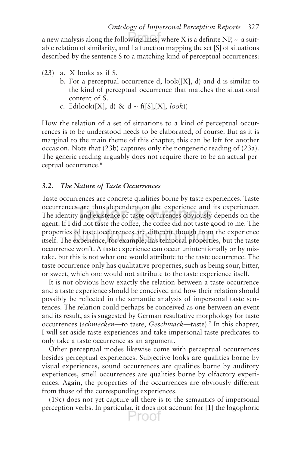a new analysis along the following lines, where X is a definite  $NP_2 \sim a$  suitable relation of similarity, and f a function mapping the set [S] of situations described by the sentence S to a matching kind of perceptual occurrences:

- (23) a. X looks as if S.
	- b. For a perceptual occurrence d,  $\text{look}([X], d)$  and d is similar to the kind of perceptual occurrence that matches the situational content of S.
	- c. ∃d(look([X], d) & d ~ f([S],[X], *look*))

How the relation of a set of situations to a kind of perceptual occurrences is to be understood needs to be elaborated, of course. But as it is marginal to the main theme of this chapter, this can be left for another occasion. Note that (23b) captures only the nongeneric reading of (23a). The generic reading arguably does not require there to be an actual perceptual occurrence.6

#### *3.2. The Nature of Taste Occurrences*

Taste occurrences are concrete qualities borne by taste experiences. Taste occurrences are thus dependent on the experience and its experiencer. The identity and existence of taste occurrences obviously depends on the agent. If I did not taste the coffee, the coffee did not taste good to me. The properties of taste occurrences are different though from the experience itself. The experience, for example, has temporal properties, but the taste occurrence won't. A taste experience can occur unintentionally or by mistake, but this is not what one would attribute to the taste occurrence. The taste occurrence only has qualitative properties, such as being sour, bitter, or sweet, which one would not attribute to the taste experience itself.

It is not obvious how exactly the relation between a taste occurrence and a taste experience should be conceived and how their relation should possibly be reflected in the semantic analysis of impersonal taste sentences. The relation could perhaps be conceived as one between an event and its result, as is suggested by German resultative morphology for taste occurrences (*schmecken*—to taste, *Geschmack*—taste).7 In this chapter, I will set aside taste experiences and take impersonal taste predicates to only take a taste occurrence as an argument.

Other perceptual modes likewise come with perceptual occurrences besides perceptual experiences. Subjective looks are qualities borne by visual experiences, sound occurrences are qualities borne by auditory experiences, smell occurrences are qualities borne by olfactory experiences. Again, the properties of the occurrences are obviously different from those of the corresponding experiences.

(19c) does not yet capture all there is to the semantics of impersonal perception verbs. In particular, it does not account for [1] the logophoric

Proot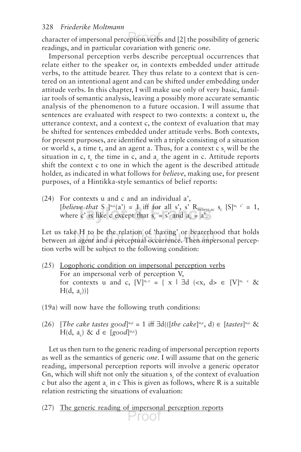character of impersonal perception verbs and [2] the possibility of generic readings, and in particular covariation with generic *one*.

Impersonal perception verbs describe perceptual occurrences that relate either to the speaker or, in contexts embedded under attitude verbs, to the attitude bearer. They thus relate to a context that is centered on an intentional agent and can be shifted under embedding under attitude verbs. In this chapter, I will make use only of very basic, familiar tools of semantic analysis, leaving a possibly more accurate semantic analysis of the phenomenon to a future occasion. I will assume that sentences are evaluated with respect to two contexts: a context u, the utterance context, and a context c, the context of evaluation that may be shifted for sentences embedded under attitude verbs. Both contexts, for present purposes, are identified with a triple consisting of a situation or world s, a time t, and an agent a. Thus, for a context  $c s_c$  will be the situation in c,  $t_c$  the time in c, and  $a_c$  the agent in c. Attitude reports shift the context c to one in which the agent is the described attitude holder, as indicated in what follows for *believe*, making use, for present purposes, of a Hintikka-style semantics of belief reports:

(24) For contexts u and c and an individual a', [*believe that* S  $]^{u,c}(a^{\prime}) = 1$  iff for all s', s' R<sub>believe,ac</sub> s<sub>c</sub> [S]<sup>u, c'</sup> = 1, where c' is like c except that  $s_c = s'$  and  $a_c = a'$ .

Let us take H to be the relation of 'having' or bearerhood that holds between an agent and a perceptual occurrence. Then impersonal perception verbs will be subject to the following condition:

- (25) Logophoric condition on impersonal perception verbs For an impersonal verb of perception V, for contexts u and c,  $[V]^{u,c} = \{ x \mid \exists d \ (\lt x, d) \in [V]^{u,c} \&$  $H(d, a_c)$ }
- (19a) will now have the following truth conditions:
- (26) [*The cake tastes good*]<sup>u,c</sup> = 1 iff  $\exists d(([the cake]^{u,c}, d) \in [tastes]^{u,c} \&$ H(d, a<sub>c</sub>) & d  $\in$  [good]<sup>u,c</sup>)

Let us then turn to the generic reading of impersonal perception reports as well as the semantics of generic *one*. I will assume that on the generic reading, impersonal perception reports will involve a generic operator Gn, which will shift not only the situation  $s_c$  of the context of evaluation c but also the agent  $a<sub>c</sub>$  in c This is given as follows, where R is a suitable relation restricting the situations of evaluation:

(27) The generic reading of impersonal perception reports

Proot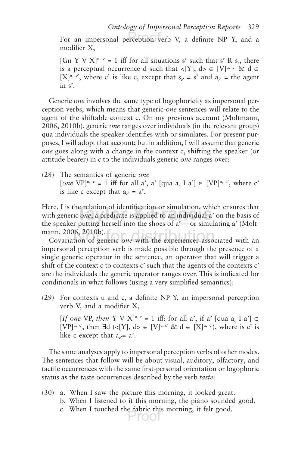For an impersonal perception verb V, a definite NP Y, and a modifier X,

[Gn Y V X]<sup>u, c</sup> = 1 iff for all situations s' such that s' R s<sub>c</sub>, there is a perceptual occurrence d such that <[Y], d>  $\in$  [V]<sup>u, c</sup> & d  $\in$  $[X]^{u, c'}$ , where c' is like c, except that  $s_c = s'$  and  $a_c =$  the agent in s'.

Generic *one* involves the same type of logophoricity as impersonal perception verbs, which means that generic-*one* sentences will relate to the agent of the shiftable context c. On my previous account (Moltmann, 2006, 2010b), generic *one* ranges over individuals (in the relevant group) qua individuals the speaker identifies with or simulates. For present purposes, I will adopt that account; but in addition, I will assume that generic *one* goes along with a change in the context c, shifting the speaker (or attitude bearer) in c to the individuals generic *one* ranges over:

(28) The semantics of generic *one* [*one* VP]<sup>u, c</sup> = 1 iff for all a', a' [qua a<sub>c</sub> I a']  $\in$  [VP]<sup>u, c'</sup>, where c' is like c except that  $a_{\alpha} = a'$ .

Here, I is the relation of identification or simulation, which ensures that with generic *one*, a predicate is applied to an individual a' on the basis of the speaker putting herself into the shoes of a'— or simulating a' (Moltmann, 2006, 2010b).

Covariation of generic *one* with the experiencer associated with an impersonal perception verb is made possible through the presence of a single generic operator in the sentence, an operator that will trigger a shift of the context c to contexts c' such that the agents of the contexts c' are the individuals the generic operator ranges over. This is indicated for conditionals in what follows (using a very simplified semantics):

(29) For contexts u and c, a definite NP Y, an impersonal perception verb V, and a modifier X,

[*If one* VP, *then* Y V X]<sup>u, c</sup> = 1 iff: for all a', if a' [qua a, I a']  $\in$  $[VP]^{u, c'}$ , then  $\exists d \ (\leq Y], d \geq \in [V]^{u, c'} \ \& \ d \in [X]^{u, c'}$ , where is c' is like c except that  $a_{c}= a'$ .

The same analyses apply to impersonal perception verbs of other modes. The sentences that follow will be about visual, auditory, olfactory, and tactile occurrences with the same first-personal orientation or logophoric status as the taste occurrences described by the verb *taste*:

- (30) a. When I saw the picture this morning, it looked great.
	- b. When I listened to it this morning, the piano sounded good.
	- c. When I touched the fabric this morning, it felt good.Proof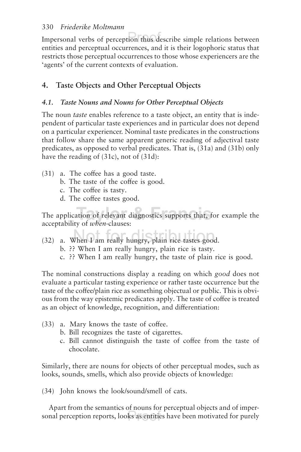Impersonal verbs of perception thus describe simple relations between entities and perceptual occurrences, and it is their logophoric status that restricts those perceptual occurrences to those whose experiencers are the 'agents' of the current contexts of evaluation.

# **4. Taste Objects and Other Perceptual Objects**

## *4.1. Taste Nouns and Nouns for Other Perceptual Objects*

The noun *taste* enables reference to a taste object, an entity that is independent of particular taste experiences and in particular does not depend on a particular experiencer. Nominal taste predicates in the constructions that follow share the same apparent generic reading of adjectival taste predicates, as opposed to verbal predicates. That is, (31a) and (31b) only have the reading of (31c), not of (31d):

- (31) a. The coffee has a good taste.
	- b. The taste of the coffee is good.
	- c. The coffee is tasty.
	- d. The coffee tastes good.

The application of relevant diagnostics supports that, for example the acceptability of *when-*clauses:

- (32) a. When I am really hungry, plain rice tastes good.
	- b. ?? When I am really hungry, plain rice is tasty.
	- c. ?? When I am really hungry, the taste of plain rice is good.

The nominal constructions display a reading on which *good* does not evaluate a particular tasting experience or rather taste occurrence but the taste of the coffee/plain rice as something objectual or public. This is obvious from the way epistemic predicates apply. The taste of coffee is treated as an object of knowledge, recognition, and differentiation:

- (33) a. Mary knows the taste of coffee.
	- b. Bill recognizes the taste of cigarettes.
	- c. Bill cannot distinguish the taste of coffee from the taste of chocolate.

Similarly, there are nouns for objects of other perceptual modes, such as looks, sounds, smells, which also provide objects of knowledge:

(34) John knows the look/sound/smell of cats.

Apart from the semantics of nouns for perceptual objects and of impersonal perception reports, looks as entities have been motivated for purely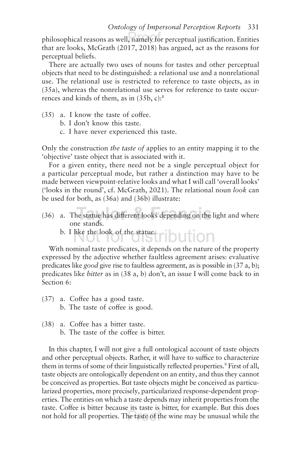philosophical reasons as well, namely for perceptual justification. Entities that are looks, McGrath (2017, 2018) has argued, act as the reasons for perceptual beliefs.

There are actually two uses of nouns for tastes and other perceptual objects that need to be distinguished: a relational use and a nonrelational use. The relational use is restricted to reference to taste objects, as in (35a), whereas the nonrelational use serves for reference to taste occurrences and kinds of them, as in (35b, c):8

- (35) a. I know the taste of coffee.
	- b. I don't know this taste.
	- c. I have never experienced this taste.

Only the construction *the taste of* applies to an entity mapping it to the 'objective' taste object that is associated with it.

For a given entity, there need not be a single perceptual object for a particular perceptual mode, but rather a distinction may have to be made between viewpoint-relative looks and what I will call 'overall looks' ('looks in the round', cf. McGrath, 2021). The relational noun *look* can be used for both, as (36a) and (36b) illustrate:

- (36) a. The statue has different looks depending on the light and where one stands.
	- b. I like the look of the statue.

With nominal taste predicates, it depends on the nature of the property expressed by the adjective whether faultless agreement arises: evaluative predicates like *good* give rise to faultless agreement, as is possible in (37 a, b); predicates like *bitter* as in (38 a, b) don't, an issue I will come back to in Section 6:

- (37) a. Coffee has a good taste.
	- b. The taste of coffee is good.
- (38) a. Coffee has a bitter taste. b. The taste of the coffee is bitter.

In this chapter, I will not give a full ontological account of taste objects and other perceptual objects. Rather, it will have to suffice to characterize them in terms of some of their linguistically reflected properties.<sup>9</sup> First of all, taste objects are ontologically dependent on an entity, and thus they cannot be conceived as properties. But taste objects might be conceived as particularized properties, more precisely, particularized response-dependent properties. The entities on which a taste depends may inherit properties from the taste. Coffee is bitter because its taste is bitter, for example. But this does not hold for all properties. The taste of the wine may be unusual while the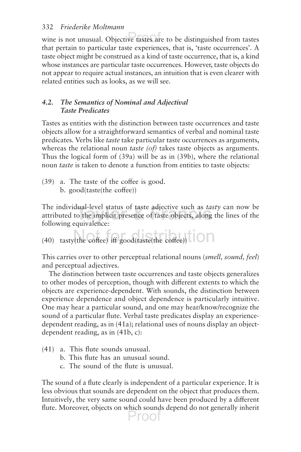wine is not unusual. Objective tastes are to be distinguished from tastes that pertain to particular taste experiences, that is, 'taste occurrences'. A taste object might be construed as a kind of taste occurrence, that is, a kind whose instances are particular taste occurrences. However, taste objects do not appear to require actual instances, an intuition that is even clearer with related entities such as looks, as we will see.

## *4.2. The Semantics of Nominal and Adjectival Taste Predicates*

Tastes as entities with the distinction between taste occurrences and taste objects allow for a straightforward semantics of verbal and nominal taste predicates. Verbs like *taste* take particular taste occurrences as arguments, whereas the relational noun *taste (of)* takes taste objects as arguments. Thus the logical form of (39a) will be as in (39b), where the relational noun *taste* is taken to denote a function from entities to taste objects:

(39) a. The taste of the coffee is good. b. good(taste(the coffee))

The individual-level status of taste adjective such as *tasty* can now be attributed to the implicit presence of taste objects, along the lines of the following equivalence:

(40) tasty(the coffee) iff  $\text{good}$ (taste(the coffee))

This carries over to other perceptual relational nouns (*smell, sound, feel*) and perceptual adjectives.

The distinction between taste occurrences and taste objects generalizes to other modes of perception, though with different extents to which the objects are experience-dependent. With sounds, the distinction between experience dependence and object dependence is particularly intuitive. One may hear a particular sound, and one may hear/know/recognize the sound of a particular flute. Verbal taste predicates display an experiencedependent reading, as in (41a); relational uses of nouns display an objectdependent reading, as in (41b, c):

- (41) a. This flute sounds unusual.
	- b. This flute has an unusual sound.
	- c. The sound of the flute is unusual.

The sound of a flute clearly is independent of a particular experience. It is less obvious that sounds are dependent on the object that produces them. Intuitively, the very same sound could have been produced by a different flute. Moreover, objects on which sounds depend do not generally inherit Proot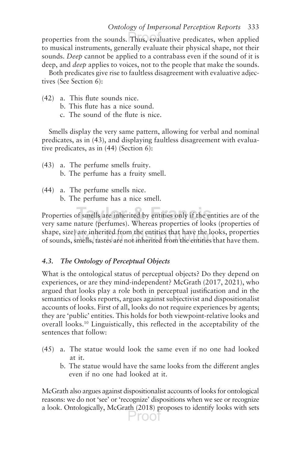properties from the sounds. Thus, evaluative predicates, when applied to musical instruments, generally evaluate their physical shape, not their sounds. *Deep* cannot be applied to a contrabass even if the sound of it is deep, and *deep* applies to voices, not to the people that make the sounds.

Both predicates give rise to faultless disagreement with evaluative adjectives (See Section 6):

- (42) a. This flute sounds nice.
	- b. This flute has a nice sound.
	- c. The sound of the flute is nice.

Smells display the very same pattern, allowing for verbal and nominal predicates, as in (43), and displaying faultless disagreement with evaluative predicates, as in (44) (Section 6):

- (43) a. The perfume smells fruity. b. The perfume has a fruity smell.
- (44) a. The perfume smells nice. b. The perfume has a nice smell.

Properties of smells are inherited by entities only if the entities are of the very same nature (perfumes). Whereas properties of looks (properties of shape, size) are inherited from the entities that have the looks, properties of sounds, smells, tastes are not inherited from the entities that have them.

# *4.3. The Ontology of Perceptual Objects*

What is the ontological status of perceptual objects? Do they depend on experiences, or are they mind-independent? McGrath (2017, 2021), who argued that looks play a role both in perceptual justification and in the semantics of looks reports, argues against subjectivist and dispositionalist accounts of looks. First of all, looks do not require experiences by agents; they are 'public' entities. This holds for both viewpoint-relative looks and overall looks.10 Linguistically, this reflected in the acceptability of the sentences that follow:

- (45) a. The statue would look the same even if no one had looked at it.
	- b. The statue would have the same looks from the different angles even if no one had looked at it.

McGrath also argues against dispositionalist accounts of looks for ontological reasons: we do not 'see' or 'recognize' dispositions when we see or recognize a look. Ontologically, McGrath (2018) proposes to identify looks with sets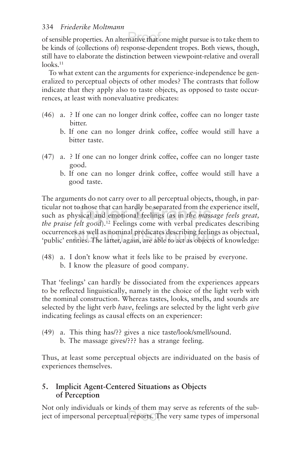of sensible properties. An alternative that one might pursue is to take them to be kinds of (collections of) response-dependent tropes. Both views, though, still have to elaborate the distinction between viewpoint-relative and overall  $looks.<sup>11</sup>$ 

To what extent can the arguments for experience-independence be generalized to perceptual objects of other modes? The contrasts that follow indicate that they apply also to taste objects, as opposed to taste occurrences, at least with nonevaluative predicates:

- (46) a. ? If one can no longer drink coffee, coffee can no longer taste bitter.
	- b. If one can no longer drink coffee, coffee would still have a bitter taste.
- (47) a. ? If one can no longer drink coffee, coffee can no longer taste good.
	- b. If one can no longer drink coffee, coffee would still have a good taste.

The arguments do not carry over to all perceptual objects, though, in particular not to those that can hardly be separated from the experience itself, such as physical and emotional feelings (as in *the massage feels great, the praise felt good*).<sup>12</sup> Feelings come with verbal predicates describing occurrences as well as nominal predicates describing feelings as objectual, 'public' entities. The latter, again, are able to act as objects of knowledge:

(48) a. I don't know what it feels like to be praised by everyone. b. I know the pleasure of good company.

That 'feelings' can hardly be dissociated from the experiences appears to be reflected linguistically, namely in the choice of the light verb with the nominal construction. Whereas tastes, looks, smells, and sounds are selected by the light verb *have*, feelings are selected by the light verb *give* indicating feelings as causal effects on an experiencer:

- (49) a. This thing has/?? gives a nice taste/look/smell/sound.
	- b. The massage gives/??? has a strange feeling.

Thus, at least some perceptual objects are individuated on the basis of experiences themselves.

# **5. Implicit Agent-Centered Situations as Objects of Perception**

Not only individuals or kinds of them may serve as referents of the subject of impersonal perceptual reports. The very same types of impersonal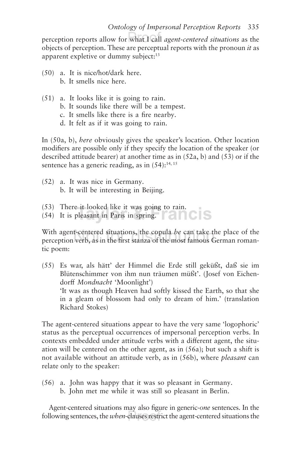# *Ontology of Impersonal Perception Reports* 335

perception reports allow for what I call *agent-centered situations* as the objects of perception. These are perceptual reports with the pronoun *it* as apparent expletive or dummy subject:<sup>13</sup>

- (50) a. It is nice/hot/dark here. b. It smells nice here.
- (51) a. It looks like it is going to rain.
	- b. It sounds like there will be a tempest.
	- c. It smells like there is a fire nearby.
	- d. It felt as if it was going to rain.

In (50a, b), *here* obviously gives the speaker's location. Other location modifiers are possible only if they specify the location of the speaker (or described attitude bearer) at another time as in (52a, b) and (53) or if the sentence has a generic reading, as in  $(54)$ :<sup>14, 15</sup>

- (52) a. It was nice in Germany. b. It will be interesting in Beijing.
- (53) There it looked like it was going to rain.
- (54) It is pleasant in Paris in spring.

With agent-centered situations, the copula *be* can take the place of the perception verb, as in the first stanza of the most famous German romantic poem:

(55) Es war, als hätt' der Himmel die Erde still geküßt, daß sie im Blütenschimmer von ihm nun träumen müßt'. (Josef von Eichendorff *Mondnacht* 'Moonlight') 'It was as though Heaven had softly kissed the Earth, so that she in a gleam of blossom had only to dream of him.' (translation Richard Stokes)

The agent-centered situations appear to have the very same 'logophoric' status as the perceptual occurrences of impersonal perception verbs. In contexts embedded under attitude verbs with a different agent, the situation will be centered on the other agent, as in (56a); but such a shift is not available without an attitude verb, as in (56b), where *pleasant* can relate only to the speaker:

(56) a. John was happy that it was so pleasant in Germany. b. John met me while it was still so pleasant in Berlin.

Agent-centered situations may also figure in generic-*one* sentences. In the following sentences, the *when*-clauses restrict the agent-centered situations the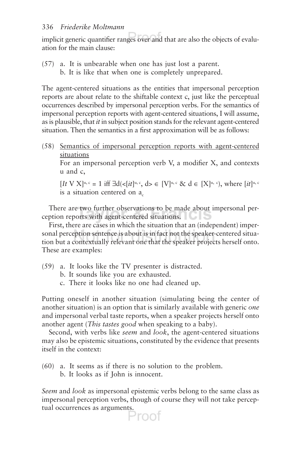implicit generic quantifier ranges over and that are also the objects of evaluation for the main clause:

- (57) a. It is unbearable when one has just lost a parent.
	- b. It is like that when one is completely unprepared.

The agent-centered situations as the entities that impersonal perception reports are about relate to the shiftable context c, just like the perceptual occurrences described by impersonal perception verbs. For the semantics of impersonal perception reports with agent-centered situations, I will assume, as is plausible, that *it* in subject position stands for the relevant agent-centered situation. Then the semantics in a first approximation will be as follows:

(58) Semantics of impersonal perception reports with agent-centered situations

For an impersonal perception verb V, a modifier X, and contexts u and c,

[*It* V X]<sup>u, c</sup> = 1 iff ∃d(<[*it*]<sup>u, c</sup>, d> ∈ [V]<sup>u, c</sup> & d ∈ [X]<sup>u, c</sup>), where [*it*]<sup>u, c</sup> is a situation centered on  $a_c$ 

There are two further observations to be made about impersonal perception reports with agent-centered situations.

First, there are cases in which the situation that an (independent) impersonal perception sentence is about is in fact not the speaker-centered situation but a contextually relevant one that the speaker projects herself onto. These are examples:

- (59) a. It looks like the TV presenter is distracted.
	- b. It sounds like you are exhausted.
	- c. There it looks like no one had cleaned up.

Putting oneself in another situation (simulating being the center of another situation) is an option that is similarly available with generic *one* and impersonal verbal taste reports, when a speaker projects herself onto another agent (*This tastes good* when speaking to a baby).

Second, with verbs like *seem* and *look*, the agent-centered situations may also be epistemic situations, constituted by the evidence that presents itself in the context:

- (60) a. It seems as if there is no solution to the problem.
	- b. It looks as if John is innocent.

*Seem* and *look* as impersonal epistemic verbs belong to the same class as impersonal perception verbs, though of course they will not take perceptual occurrences as arguments.root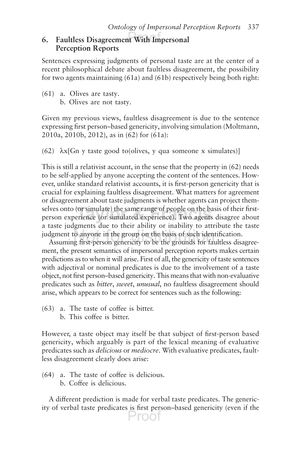# **6. Faultless Disagreement With Impersonal Perception Reports**

Sentences expressing judgments of personal taste are at the center of a recent philosophical debate about faultless disagreement, the possibility for two agents maintaining (61a) and (61b) respectively being both right:

(61) a. Olives are tasty. b. Olives are not tasty.

Given my previous views, faultless disagreement is due to the sentence expressing first person–based genericity, involving simulation (Moltmann, 2010a, 2010b, 2012), as in (62) for (61a):

(62)  $\lambda x$ [Gn y taste good to(olives, y qua someone x simulates)]

This is still a relativist account, in the sense that the property in (62) needs to be self-applied by anyone accepting the content of the sentences. However, unlike standard relativist accounts, it is first-person genericity that is crucial for explaining faultless disagreement. What matters for agreement or disagreement about taste judgments is whether agents can project themselves onto (or simulate) the same range of people on the basis of their firstperson experience (or simulated experience). Two agents disagree about a taste judgments due to their ability or inability to attribute the taste judgment to anyone in the group on the basis of such identification.

Assuming first-person genericity to be the grounds for faultless disagreement, the present semantics of impersonal perception reports makes certain predictions as to when it will arise. First of all, the genericity of taste sentences with adjectival or nominal predicates is due to the involvement of a taste object, not first person–based genericity. This means that with non-evaluative predicates such as *bitter*, *sweet*, *unusual*, no faultless disagreement should arise, which appears to be correct for sentences such as the following:

- (63) a. The taste of coffee is bitter.
	- b. This coffee is bitter.

However, a taste object may itself be that subject of first-person based genericity, which arguably is part of the lexical meaning of evaluative predicates such as *delicious* or *mediocre*. With evaluative predicates, faultless disagreement clearly does arise:

(64) a. The taste of coffee is delicious. b. Coffee is delicious.

A different prediction is made for verbal taste predicates. The genericity of verbal taste predicates is first person–based genericity (even if the Proot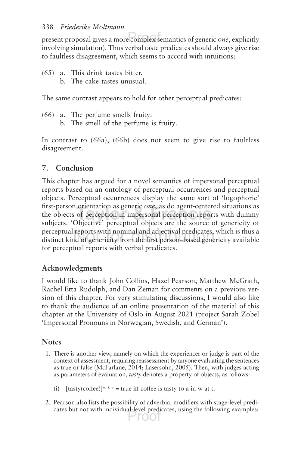present proposal gives a more complex semantics of generic *one*, explicitly involving simulation). Thus verbal taste predicates should always give rise to faultless disagreement, which seems to accord with intuitions:

- (65) a. This drink tastes bitter.
	- b. The cake tastes unusual.

The same contrast appears to hold for other perceptual predicates:

- (66) a. The perfume smells fruity.
	- b. The smell of the perfume is fruity.

In contrast to (66a), (66b) does not seem to give rise to faultless disagreement.

# **7. Conclusion**

This chapter has argued for a novel semantics of impersonal perceptual reports based on an ontology of perceptual occurrences and perceptual objects. Perceptual occurrences display the same sort of 'logophoric' first-person orientation as generic *one*, as do agent-centered situations as the objects of perception in impersonal perception reports with dummy subjects. 'Objective' perceptual objects are the source of genericity of perceptual reports with nominal and adjectival predicates, which is thus a distinct kind of genericity from the first person–based genericity available for perceptual reports with verbal predicates.

# **Acknowledgments**

I would like to thank John Collins, Hazel Pearson, Matthew McGrath, Rachel Etta Rudolph, and Dan Zeman for comments on a previous version of this chapter. For very stimulating discussions, I would also like to thank the audience of an online presentation of the material of this chapter at the University of Oslo in August 2021 (project Sarah Zobel 'Impersonal Pronouns in Norwegian, Swedish, and German').

# **Notes**

- 1. There is another view, namely on which the experiencer or judge is part of the context of assessment, requiring reassessment by anyone evaluating the sentences as true or false (McFarlane, 2014; Lasersohn, 2005). Then, with judges acting as parameters of evaluation, *tasty* denotes a property of objects, as follows:
	- (i) [tasty(coffee)]<sup>w, t, a</sup> = true iff coffee is tasty to a in w at t.
- 2. Pearson also lists the possibility of adverbial modifiers with stage-level predicates but not with individual-level predicates, using the following examples:Proof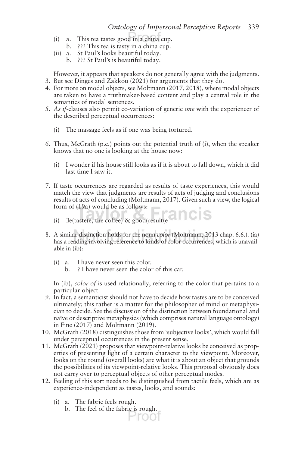- (i) a. This tea tastes good in a china cup. b. ??? This tea is tasty in a china cup.
- (ii) a. St Paul's looks beautiful today.
	- b. ??? St Paul's is beautiful today.

However, it appears that speakers do not generally agree with the judgments. 3. But see Dinges and Zakkou (2021) for arguments that they do.

- 4. For more on modal objects, see Moltmann (2017, 2018), where modal objects are taken to have a truthmaker-based content and play a central role in the semantics of modal sentences.
- 5. *As if-*clauses also permit co-variation of generic *one* with the experiencer of the described perceptual occurrences:
	- (i) The massage feels as if one was being tortured.
- 6. Thus, McGrath (p.c.) points out the potential truth of (i), when the speaker knows that no one is looking at the house now:
	- (i) I wonder if his house still looks as if it is about to fall down, which it did last time I saw it.
- 7. If taste occurrences are regarded as results of taste experiences, this would match the view that judgments are results of acts of judging and conclusions results of acts of concluding (Moltmann, 2017). Given such a view, the logical form of (19a) would be as follows:
	- (i)  $∃e(taste(e, the coffee) & good(result(e))$
- 8. A similar distinction holds for the noun *color* (Moltmann, 2013 chap. 6.6.). (ia) has a reading involving reference to kinds of color occurrences, which is unavailable in (ib):
	- (i) a. I have never seen this color.
		- b. ? I have never seen the color of this car.

In (ib), *color of* is used relationally, referring to the color that pertains to a particular object.

- 9. In fact, a semanticist should not have to decide how tastes are to be conceived ultimately; this rather is a matter for the philosopher of mind or metaphysician to decide. See the discussion of the distinction between foundational and naïve or descriptive metaphysics (which comprises natural language ontology) in Fine (2017) and Moltmann (2019).
- 10. McGrath (2018) distinguishes those from 'subjective looks', which would fall under perceptual occurrences in the present sense.
- 11. McGrath (2021) proposes that viewpoint-relative looks be conceived as properties of presenting light of a certain character to the viewpoint. Moreover, looks on the round (overall looks) are what it is about an object that grounds the possibilities of its viewpoint-relative looks. This proposal obviously does not carry over to perceptual objects of other perceptual modes.
- 12. Feeling of this sort needs to be distinguished from tactile feels, which are as experience-independent as tastes, looks, and sounds:
	- (i) a. The fabric feels rough.
		- b. The feel of the fabric is rough.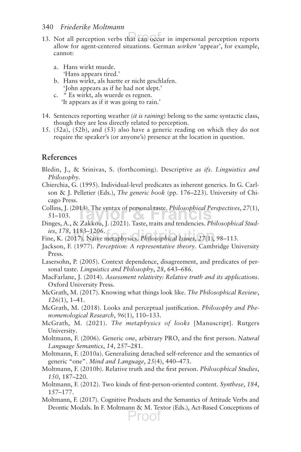- 13. Not all perception verbs that can occur in impersonal perception reports allow for agent-centered situations. German *wirken* 'appear', for example, cannot:
	- a. Hans wirkt muede. 'Hans appears tired.'
	- b. Hans wirkt, als haette er nicht geschlafen. 'John appears as if he had not slept.'
	- c. \* Es wirkt, als wuerde es regnen. 'It appears as if it was going to rain.'
- 14. Sentences reporting weather (*it is raining*) belong to the same syntactic class, though they are less directly related to perception.
- 15. (52a), (52b), and (53) also have a generic reading on which they do not require the speaker's (or anyone's) presence at the location in question.

#### **References**

- Bledin, J., & Srinivas, S. (forthcoming). Descriptive *as ifs*. *Linguistics and Philosophy*.
- Chierchia, G. (1995). Individual-level predicates as inherent generics. In G. Carlson & J. Pelletier (Eds.), *The generic book* (pp. 176–223). University of Chicago Press.
- Collins, J. (2013). The syntax of personal taste. *Philosophical Perspectives*, *27*(1), 51–103.
- Dinges, A., & Zakkou, J. (2021). Taste, traits and tendencies. *Philosophical Studies*, *178*, 1183–1206.
- Fine, K. (2017). Naïve metaphysics. *Philosophical Issues*, *27*(1), 98–113.
- Jackson, F. (1977). *Perception: A representative theory*. Cambridge University Press.
- Lasersohn, P. (2005). Context dependence, disagreement, and predicates of personal taste. *Linguistics and Philosophy*, *28*, 643–686.
- MacFarlane, J. (2014). *Assessment relativity: Relative truth and its applications*. Oxford University Press.
- McGrath, M. (2017). Knowing what things look like. *The Philosophical Review*, *126*(1), 1–41.
- McGrath, M. (2018). Looks and perceptual justification. *Philosophy and Phenomenological Research*, *96*(1), 110–133.
- McGrath, M. (2021). *The metaphysics of looks* [Manuscript]. Rutgers University.
- Moltmann, F. (2006). Generic *one*, arbitrary PRO, and the first person. *Natural Language Semantics*, *14*, 257–281.
- Moltmann, F. (2010a). Generalizing detached self-reference and the semantics of generic "one". *Mind and Language*, *25*(4), 440–473.
- Moltmann, F. (2010b). Relative truth and the first person. *Philosophical Studies*, *150*, 187–220.
- Moltmann, F. (2012). Two kinds of first-person-oriented content. *Synthese*, *184*, 157–177.
- Moltmann, F. (2017). Cognitive Products and the Semantics of Attitude Verbs and Deontic Modals. In F. Moltmann & M. Textor (Eds.), Act-Based Conceptions of rnoni